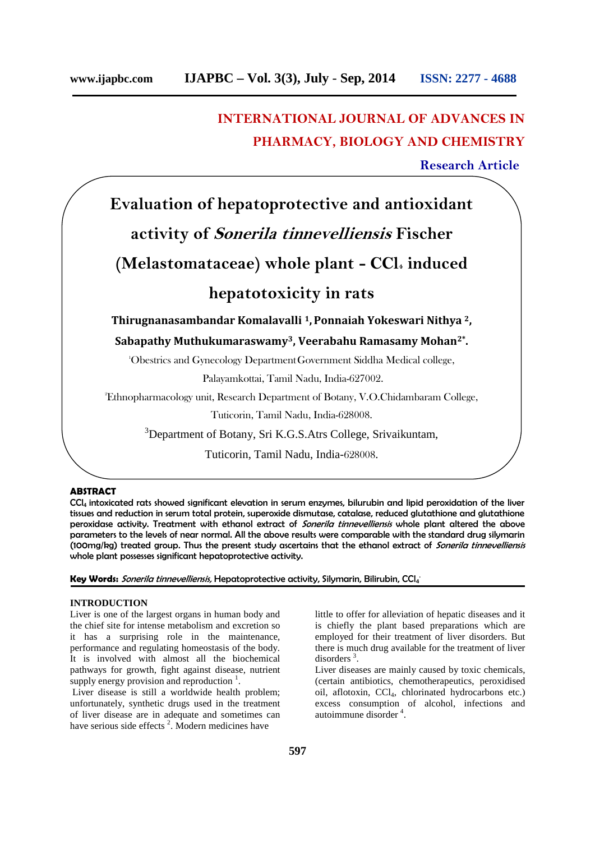# **INTERNATIONAL JOURNAL OF ADVANCES IN PHARMACY, BIOLOGY AND CHEMISTRY**

**Research Article**

# **Evaluation of hepatoprotective and antioxidant activity of** *Sonerila tinnevelliensis* **Fischer (Melastomataceae) whole plant - CCl<sup>4</sup> induced hepatotoxicity in rats**

**Thirugnanasambandar Komalavalli <sup>1</sup>,Ponnaiah Yokeswari Nithya <sup>2</sup>,**

**Sabapathy Muthukumaraswamy3, Veerabahu Ramasamy Mohan2\* .**

<sup>1</sup>Obestrics and Gynecology DepartmentGovernment Siddha Medical college,

Palayamkottai, Tamil Nadu, India-627002.

<sup>2</sup>Ethnopharmacology unit, Research Department of Botany, V.O.Chidambaram College,

Tuticorin, Tamil Nadu, India-628008.

<sup>3</sup>Department of Botany, Sri K.G.S.Atrs College, Srivaikuntam,

Tuticorin, Tamil Nadu, India-628008.

#### **ABSTRACT**

CCl<sup>4</sup> intoxicated rats showed significant elevation in serum enzymes, bilurubin and lipid peroxidation of the liver tissues and reduction in serum total protein, superoxide dismutase, catalase, reduced glutathione and glutathione peroxidase activity. Treatment with ethanol extract of *Sonerila tinnevelliensis* whole plant altered the above parameters to the levels of near normal. All the above results were comparable with the standard drug silymarin (100mg/kg) treated group. Thus the present study ascertains that the ethanol extract of *Sonerila tinnevelliensis* whole plant possesses significant hepatoprotective activity.

**Key Words:** *Sonerila tinnevelliensis,* Hepatoprotective activity, Silymarin, Bilirubin, CCl<sup>4</sup> .

#### **INTRODUCTION**

Liver is one of the largest organs in human body and the chief site for intense metabolism and excretion so it has a surprising role in the maintenance, performance and regulating homeostasis of the body. It is involved with almost all the biochemical pathways for growth, fight against disease, nutrient supply energy provision and reproduction  $\frac{1}{1}$ .

Liver disease is still a worldwide health problem; unfortunately, synthetic drugs used in the treatment of liver disease are in adequate and sometimes can have serious side effects  $2$ . Modern medicines have little to offer for alleviation of hepatic diseases and it is chiefly the plant based preparations which are employed for their treatment of liver disorders. But there is much drug available for the treatment of liver disorders<sup>3</sup>.

Liver diseases are mainly caused by toxic chemicals, (certain antibiotics, chemotherapeutics, peroxidised oil, aflotoxin, CCl4, chlorinated hydrocarbons etc.) excess consumption of alcohol, infections and autoimmune disorder <sup>4</sup> .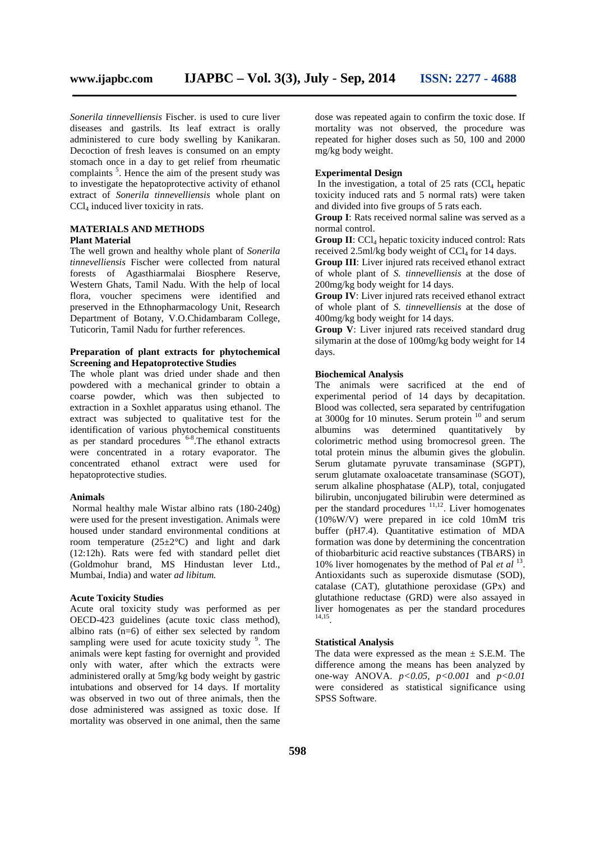*Sonerila tinnevelliensis* Fischer. is used to cure liver diseases and gastrils. Its leaf extract is orally administered to cure body swelling by Kanikaran. Decoction of fresh leaves is consumed on an empty stomach once in a day to get relief from rheumatic complaints<sup>5</sup>. Hence the aim of the present study was to investigate the hepatoprotective activity of ethanol extract of *Sonerila tinnevelliensis* whole plant on CCl<sub>4</sub> induced liver toxicity in rats.

#### **MATERIALS AND METHODS Plant Material**

The well grown and healthy whole plant of *Sonerila tinnevelliensis* Fischer were collected from natural forests of Agasthiarmalai Biosphere Reserve, Western Ghats, Tamil Nadu. With the help of local flora, voucher specimens were identified and preserved in the Ethnopharmacology Unit, Research Department of Botany, V.O.Chidambaram College, Tuticorin, Tamil Nadu for further references.

#### **Preparation of plant extracts for phytochemical Screening and Hepatoprotective Studies**

The whole plant was dried under shade and then powdered with a mechanical grinder to obtain a coarse powder, which was then subjected to extraction in a Soxhlet apparatus using ethanol. The extract was subjected to qualitative test for the identification of various phytochemical constituents as per standard procedures <sup>6-8</sup>. The ethanol extracts were concentrated in a rotary evaporator. The concentrated ethanol extract were used for hepatoprotective studies.

#### **Animals**

Normal healthy male Wistar albino rats (180-240g) were used for the present investigation. Animals were housed under standard environmental conditions at room temperature  $(25\pm2\degree C)$  and light and dark (12:12h). Rats were fed with standard pellet diet (Goldmohur brand, MS Hindustan lever Ltd., Mumbai, India) and water *ad libitum.*

# **Acute Toxicity Studies**

Acute oral toxicity study was performed as per OECD-423 guidelines (acute toxic class method), albino rats  $(n=6)$  of either sex selected by random sampling were used for acute toxicity study <sup>9</sup>. The animals were kept fasting for overnight and provided only with water, after which the extracts were administered orally at 5mg/kg body weight by gastric intubations and observed for 14 days. If mortality was observed in two out of three animals, then the dose administered was assigned as toxic dose. If mortality was observed in one animal, then the same

dose was repeated again to confirm the toxic dose. If mortality was not observed, the procedure was repeated for higher doses such as 50, 100 and 2000 mg/kg body weight.

# **Experimental Design**

In the investigation, a total of  $25$  rats (CCl<sub>4</sub> hepatic toxicity induced rats and 5 normal rats) were taken and divided into five groups of 5 rats each.

**Group I**: Rats received normal saline was served as a normal control.

**Group II**: CCl<sub>4</sub> hepatic toxicity induced control: Rats received  $2.5$ ml/kg body weight of CCl<sub>4</sub> for 14 days.

**Group III**: Liver injured rats received ethanol extract of whole plant of *S. tinnevelliensis* at the dose of 200mg/kg body weight for 14 days.

**Group IV**: Liver injured rats received ethanol extract of whole plant of *S. tinnevelliensis* at the dose of 400mg/kg body weight for 14 days.

**Group V**: Liver injured rats received standard drug silymarin at the dose of 100mg/kg body weight for 14 days.

### **Biochemical Analysis**

The animals were sacrificed at the end of experimental period of 14 days by decapitation. Blood was collected, sera separated by centrifugation at 3000g for 10 minutes. Serum protein <sup>10</sup> and serum albumins was determined quantitatively by colorimetric method using bromocresol green. The total protein minus the albumin gives the globulin. Serum glutamate pyruvate transaminase (SGPT), serum glutamate oxaloacetate transaminase (SGOT), serum alkaline phosphatase (ALP), total, conjugated bilirubin, unconjugated bilirubin were determined as per the standard procedures  $11,12$ . Liver homogenates  $(10\% \text{W/V})$  were prepared in ice cold 10mM tris buffer (pH7.4). Quantitative estimation of MDA formation was done by determining the concentration of thiobarbituric acid reactive substances (TBARS) in 10% liver homogenates by the method of Pal *et al* <sup>13</sup> . Antioxidants such as superoxide dismutase (SOD), catalase (CAT), glutathione peroxidase (GPx) and glutathione reductase (GRD) were also assayed in liver homogenates as per the standard procedures 14,15 .

### **Statistical Analysis**

The data were expressed as the mean  $\pm$  S.E.M. The difference among the means has been analyzed by one-way ANOVA. *p<0.05, p<0.001* and *p<0.01* were considered as statistical significance using SPSS Software.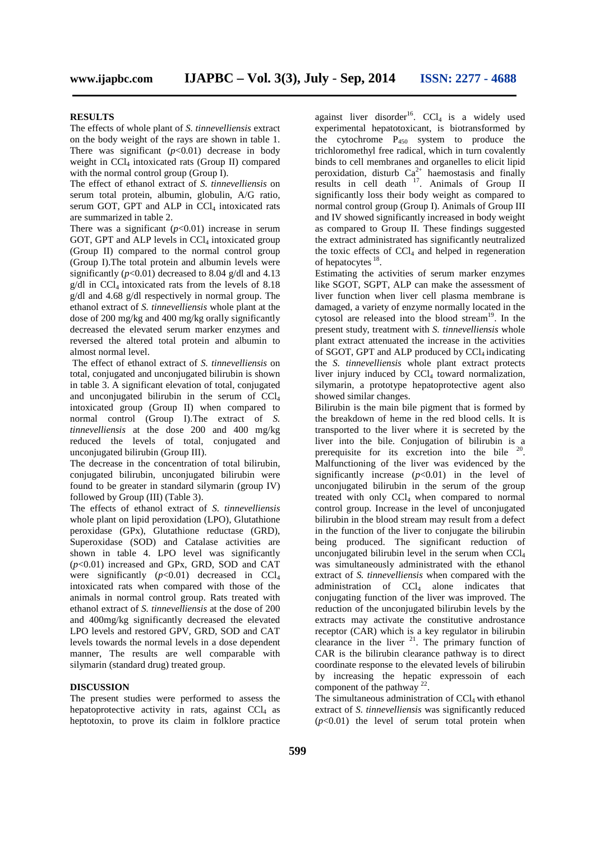#### **RESULTS**

The effects of whole plant of *S. tinnevelliensis* extract on the body weight of the rays are shown in table 1. There was significant  $(p<0.01)$  decrease in body weight in CCl<sub>4</sub> intoxicated rats (Group II) compared with the normal control group (Group I).

The effect of ethanol extract of *S. tinnevelliensis* on serum total protein, albumin, globulin, A/G ratio, serum GOT, GPT and ALP in  $CCl<sub>4</sub>$  intoxicated rats are summarized in table 2.

There was a significant  $(p<0.01)$  increase in serum GOT, GPT and ALP levels in  $CCl_4$  intoxicated group (Group II) compared to the normal control group (Group I).The total protein and albumin levels were significantly  $(p<0.01)$  decreased to 8.04 g/dl and 4.13  $g/dl$  in CCl<sub>4</sub> intoxicated rats from the levels of 8.18 g/dl and 4.68 g/dl respectively in normal group. The ethanol extract of *S. tinnevelliensis* whole plant at the dose of 200 mg/kg and 400 mg/kg orally significantly decreased the elevated serum marker enzymes and reversed the altered total protein and albumin to almost normal level.

The effect of ethanol extract of *S. tinnevelliensis* on total, conjugated and unconjugated bilirubin is shown in table 3. A significant elevation of total, conjugated and unconjugated bilirubin in the serum of CCl<sup>4</sup> intoxicated group (Group II) when compared to normal control (Group I).The extract of *S. tinnevelliensis* at the dose 200 and 400 mg/kg reduced the levels of total, conjugated and unconjugated bilirubin (Group III).

The decrease in the concentration of total bilirubin, conjugated bilirubin, unconjugated bilirubin were found to be greater in standard silymarin (group IV) followed by Group (III) (Table 3).

The effects of ethanol extract of *S. tinnevelliensis* whole plant on lipid peroxidation (LPO), Glutathione peroxidase (GPx), Glutathione reductase (GRD), Superoxidase (SOD) and Catalase activities are shown in table 4. LPO level was significantly (*p*<0.01) increased and GPx, GRD, SOD and CAT were significantly  $(p<0.01)$  decreased in CCl<sub>4</sub> intoxicated rats when compared with those of the animals in normal control group. Rats treated with ethanol extract of *S. tinnevelliensis* at the dose of 200 and 400mg/kg significantly decreased the elevated LPO levels and restored GPV, GRD, SOD and CAT levels towards the normal levels in a dose dependent manner, The results are well comparable with silymarin (standard drug) treated group.

# **DISCUSSION**

The present studies were performed to assess the hepatoprotective activity in rats, against  $CCl<sub>4</sub>$  as heptotoxin, to prove its claim in folklore practice

against liver disorder<sup>16</sup>. CCl<sub>4</sub> is a widely used experimental hepatotoxicant, is biotransformed by the cytochrome  $P_{450}$  system to produce the trichloromethyl free radical, which in turn covalently binds to cell membranes and organelles to elicit lipid peroxidation, disturb  $Ca^{2+}$  haemostasis and finally results in cell death  $17$ . Animals of Group II significantly loss their body weight as compared to normal control group (Group I). Animals of Group III and IV showed significantly increased in body weight as compared to Group II. These findings suggested the extract administrated has significantly neutralized the toxic effects of  $CCl<sub>4</sub>$  and helped in regeneration of hepatocytes <sup>18</sup>.

Estimating the activities of serum marker enzymes like SGOT, SGPT, ALP can make the assessment of liver function when liver cell plasma membrane is damaged, a variety of enzyme normally located in the cytosol are released into the blood stream<sup>19</sup>. In the present study, treatment with *S. tinnevelliensis* whole plant extract attenuated the increase in the activities of SGOT, GPT and ALP produced by  $CCl_4$  indicating the *S. tinnevelliensis* whole plant extract protects liver injury induced by  $CCl<sub>4</sub>$  toward normalization, silymarin, a prototype hepatoprotective agent also showed similar changes.

Bilirubin is the main bile pigment that is formed by the breakdown of heme in the red blood cells. It is transported to the liver where it is secreted by the liver into the bile. Conjugation of bilirubin is a prerequisite for its excretion into the bile  $20$ . Malfunctioning of the liver was evidenced by the significantly increase  $(p<0.01)$  in the level of unconjugated bilirubin in the serum of the group treated with only CCl<sub>4</sub> when compared to normal control group. Increase in the level of unconjugated bilirubin in the blood stream may result from a defect in the function of the liver to conjugate the bilirubin being produced. The significant reduction of unconjugated bilirubin level in the serum when  $CCl<sub>4</sub>$ was simultaneously administrated with the ethanol extract of *S. tinnevelliensis* when compared with the administration of CCL<sub>4</sub> alone indicates that conjugating function of the liver was improved. The reduction of the unconjugated bilirubin levels by the extracts may activate the constitutive androstance receptor (CAR) which is a key regulator in bilirubin clearance in the liver  $2^1$ . The primary function of CAR is the bilirubin clearance pathway is to direct coordinate response to the elevated levels of bilirubin by increasing the hepatic expressoin of each component of the pathway  $22$ .

The simultaneous administration of  $CCl<sub>4</sub>$  with ethanol extract of *S. tinnevelliensis* was significantly reduced  $(p<0.01)$  the level of serum total protein when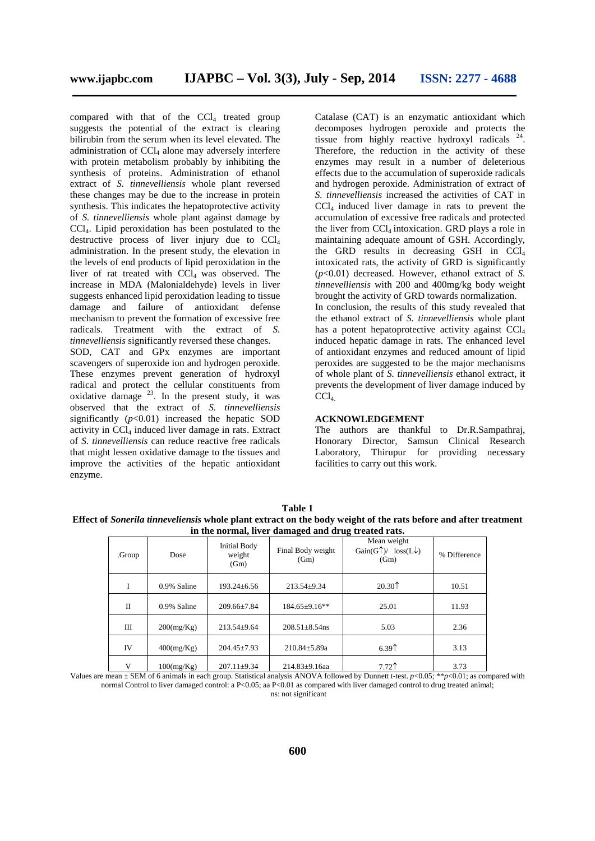compared with that of the  $CCL$  treated group suggests the potential of the extract is clearing bilirubin from the serum when its level elevated. The administration of  $CCl<sub>4</sub>$  alone may adversely interfere with protein metabolism probably by inhibiting the synthesis of proteins. Administration of ethanol extract of *S. tinnevelliensis* whole plant reversed these changes may be due to the increase in protein synthesis. This indicates the hepatoprotective activity of *S. tinnevelliensis* whole plant against damage by CCl4. Lipid peroxidation has been postulated to the destructive process of liver injury due to  $CCl<sub>4</sub>$ administration. In the present study, the elevation in the levels of end products of lipid peroxidation in the liver of rat treated with  $CCl<sub>4</sub>$  was observed. The increase in MDA (Malonialdehyde) levels in liver suggests enhanced lipid peroxidation leading to tissue damage and failure of antioxidant defense mechanism to prevent the formation of excessive free radicals. Treatment with the extract of *S. tinnevelliensis* significantly reversed these changes. SOD, CAT and GPx enzymes are important scavengers of superoxide ion and hydrogen peroxide. These enzymes prevent generation of hydroxyl radical and protect the cellular constituents from oxidative damage  $^{23}$ . In the present study, it was observed that the extract of *S. tinnevelliensis* significantly  $(p<0.01)$  increased the hepatic SOD activity in  $\overline{CCl}_4$  induced liver damage in rats. Extract of *S. tinnevelliensis* can reduce reactive free radicals that might lessen oxidative damage to the tissues and improve the activities of the hepatic antioxidant enzyme.

Catalase (CAT) is an enzymatic antioxidant which decomposes hydrogen peroxide and protects the tissue from highly reactive hydroxyl radicals <sup>24</sup>. Therefore, the reduction in the activity of these enzymes may result in a number of deleterious effects due to the accumulation of superoxide radicals and hydrogen peroxide. Administration of extract of *S. tinnevelliensis* increased the activities of CAT in  $CCl<sub>4</sub>$  induced liver damage in rats to prevent the accumulation of excessive free radicals and protected the liver from  $CCl_4$  intoxication. GRD plays a role in maintaining adequate amount of GSH. Accordingly, the GRD results in decreasing GSH in  $CCl<sub>4</sub>$ intoxicated rats, the activity of GRD is significantly (*p*<0.01) decreased. However, ethanol extract of *S. tinnevelliensis* with 200 and 400mg/kg body weight brought the activity of GRD towards normalization. In conclusion, the results of this study revealed that the ethanol extract of *S. tinnevelliensis* whole plant has a potent hepatoprotective activity against CCl<sub>4</sub> induced hepatic damage in rats. The enhanced level of antioxidant enzymes and reduced amount of lipid peroxides are suggested to be the major mechanisms of whole plant of *S. tinnevelliensis* ethanol extract, it prevents the development of liver damage induced by  $CCl<sub>4</sub>$ 

#### **ACKNOWLEDGEMENT**

The authors are thankful to Dr.R.Sampathraj, Honorary Director, Samsun Clinical Research Laboratory, Thirupur for providing necessary facilities to carry out this work.

**Table 1 Effect of** *Sonerila tinneveliensis* **whole plant extract on the body weight of the rats before and after treatment in the normal, liver damaged and drug treated rats.**

| .Group      | Dose        | Initial Body<br>weight<br>(Gm) | Final Body weight<br>(Gm) | Mean weight<br>Gain(G $\uparrow$ )/ loss(L $\downarrow$ )<br>(Gm) |       |
|-------------|-------------|--------------------------------|---------------------------|-------------------------------------------------------------------|-------|
| I           | 0.9% Saline | $193.24 \pm 6.56$              | $213.54 \pm 9.34$         | $20.30^{\circ}$                                                   | 10.51 |
| $_{\rm II}$ | 0.9% Saline | $209.66 \pm 7.84$              | $184.65 \pm 9.16**$       | 25.01                                                             | 11.93 |
| Ш           | 200(mg/Kg)  | $213.54 \pm 9.64$              | $208.51 \pm 8.54$ ns      | 5.03                                                              | 2.36  |
| IV          | 400(mg/Kg)  | $204.45 \pm 7.93$              | $210.84 \pm 5.89a$        | 6.39 <sup>†</sup>                                                 | 3.13  |
| V           | 100(mg/Kg)  | $207.11 \pm 9.34$              | $214.83 \pm 9.16$ aa      | $7.72$ <sup><math>\uparrow</math></sup>                           | 3.73  |

Values are mean ± SEM of 6 animals in each group. Statistical analysis ANOVA followed by Dunnett t-test. *p*<0.05; \*\**p*<0.01; as compared with normal Control to liver damaged control: a P<0.05; aa P<0.01 as compared with liver damaged control to drug treated animal; ns: not significant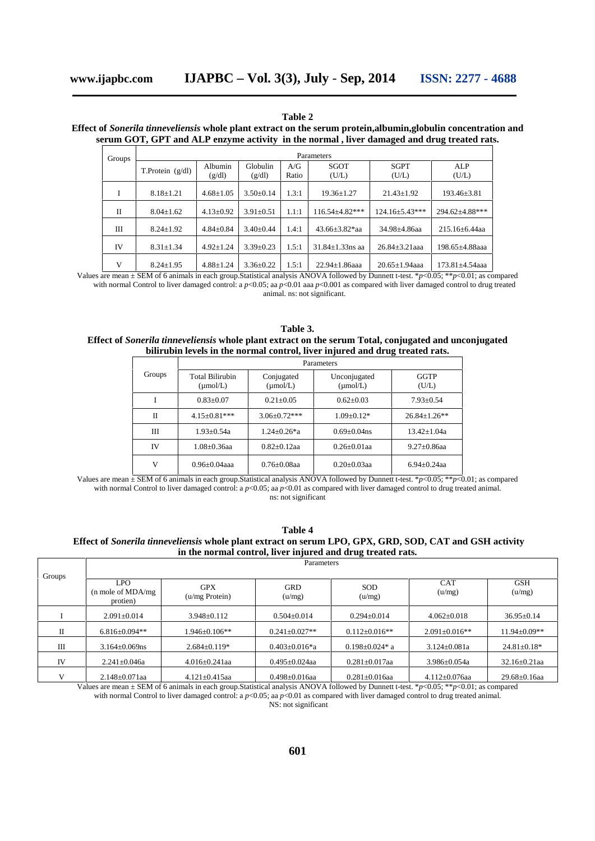**Table 2**

| Effect of Sonerila tinneveliensis whole plant extract on the serum protein, albumin, globulin concentration and |  |
|-----------------------------------------------------------------------------------------------------------------|--|
| serum GOT, GPT and ALP enzyme activity in the normal, liver damaged and drug treated rats.                      |  |

| Groups | Parameters         |                   |                    |              |                        |                       |                       |  |
|--------|--------------------|-------------------|--------------------|--------------|------------------------|-----------------------|-----------------------|--|
|        | T.Protein $(g/dl)$ | Albumin<br>(g/dl) | Globulin<br>(g/dl) | A/G<br>Ratio | SGOT<br>(U/L)          | <b>SGPT</b><br>(U/L)  | ALP<br>(U/L)          |  |
| Ι      | $8.18 \pm 1.21$    | $4.68 \pm 1.05$   | $3.50\pm0.14$      | 1.3:1        | $19.36 \pm 1.27$       | $21.43 \pm 1.92$      | $193.46 \pm 3.81$     |  |
| П      | $8.04 \pm 1.62$    | $4.13 \pm 0.92$   | $3.91 \pm 0.51$    | 1.1:1        | $116.54 + 4.82***$     | $124.16 \pm 5.43$ *** | $294.62 \pm 4.88$ *** |  |
| Ш      | $8.24 + 1.92$      | $4.84 \pm 0.84$   | $3.40 \pm 0.44$    | 1.4:1        | $43.66 + 3.82$ *aa     | 34.98±4.86aa          | $215.16 \pm 6.44$ aa  |  |
| IV     | $8.31 \pm 1.34$    | $4.92 \pm 1.24$   | $3.39 \pm 0.23$    | 1.5:1        | $31.84 \pm 1.33$ ns aa | $26.84 + 3.21$ aaa    | 198.65±4.88aaa        |  |
| V      | $8.24 \pm 1.95$    | $4.88 \pm 1.24$   | $3.36 \pm 0.22$    | 1.5:1        | $22.94 + 1.86$ aaa     | $20.65 \pm 1.94$ aaa  | $173.81 \pm 4.54$ aaa |  |

Values are mean ± SEM of 6 animals in each group.Statistical analysis ANOVA followed by Dunnett t-test. \**p*<0.05; \*\**p*<0.01; as compared with normal Control to liver damaged control: a  $p$ <0.05; aa  $p$ <0.01 aaa  $p$ <0.001 as compared with liver damaged control to drug treated

animal. ns: not significant.

**Table 3. Effect of** *Sonerila tinneveliensis* **whole plant extract on the serum Total, conjugated and unconjugated bilirubin levels in the normal control, liver injured and drug treated rats.**

|        | Parameters                                     |                                    |                                      |                  |  |  |
|--------|------------------------------------------------|------------------------------------|--------------------------------------|------------------|--|--|
| Groups | <b>Total Bilirubin</b><br>$(\mu \text{mol/L})$ | Conjugated<br>$(\mu \text{mol/L})$ | Unconjugated<br>$(\mu \text{mol/L})$ | GGTP<br>(U/L)    |  |  |
|        | $0.83 + 0.07$                                  | $0.21 + 0.05$                      | $0.62+0.03$                          | $7.93 + 0.54$    |  |  |
| Н      | $4.15 \pm 0.81$ ***                            | $3.06 \pm 0.72$ ***                | $1.09 + 0.12*$                       | $26.84 + 1.26**$ |  |  |
| Ш      | $1.93 + 0.54a$                                 | $1.24 + 0.26 \text{*a}$            | $0.69 + 0.04$ ns                     | $13.42 + 1.04a$  |  |  |
| IV     | $1.08 + 0.36$ aa                               | $0.82+0.12$ aa                     | $0.26 + 0.01$ aa                     | $9.27 + 0.86$ aa |  |  |
| V      | $0.96 + 0.04$ aaa                              | $0.76 + 0.08$ aa                   | $0.20 + 0.03$ aa                     | $6.94 + 0.24$ aa |  |  |

Values are mean ± SEM of 6 animals in each group.Statistical analysis ANOVA followed by Dunnett t-test. \**p*<0.05; \*\**p*<0.01; as compared with normal Control to liver damaged control: a  $p<0.05$ ; aa  $p<0.01$  as compared with liver damaged control to drug treated animal. ns: not significant

**Table 4 Effect of** *Sonerila tinneveliensis* **whole plant extract on serum LPO, GPX, GRD, SOD, CAT and GSH activity in the normal control, liver injured and drug treated rats.**

| Groups | Parameters                                             |                              |                      |                       |                      |                      |  |  |
|--------|--------------------------------------------------------|------------------------------|----------------------|-----------------------|----------------------|----------------------|--|--|
|        | <b>LPO</b><br>$(n \text{ mole of MDA/mg})$<br>protien) | <b>GPX</b><br>(u/mg Protein) | <b>GRD</b><br>(u/mg) | <b>SOD</b><br>(u/mg)  | <b>CAT</b><br>(u/mg) | <b>GSH</b><br>(u/mg) |  |  |
|        | $2.091 \pm 0.014$                                      | $3.948 \pm 0.112$            | $0.504 \pm 0.014$    | $0.294 \pm 0.014$     | $4.062 \pm 0.018$    | $36.95 \pm 0.14$     |  |  |
| П      | $6.816 + 0.094**$                                      | $.946 \pm 0.106**$           | $0.241 \pm 0.027**$  | $0.112 \pm 0.016**$   | $2.091 + 0.016**$    | $11.94 \pm 0.09**$   |  |  |
| Ш      | $3.164 \pm 0.069$ ns                                   | $2.684 \pm 0.119*$           | $0.403 \pm 0.016$ *a | $0.198 \pm 0.024$ * a | $3.124 \pm 0.081a$   | $24.81 \pm 0.18*$    |  |  |
| IV     | $2.241 \pm 0.046a$                                     | $4.016 \pm 0.241$ aa         | $0.495 \pm 0.024$ aa | $0.281 \pm 0.017$ aa  | $3.986 \pm 0.054a$   | $32.16 \pm 0.21$ aa  |  |  |
| v      | $2.148 \pm 0.071$ aa                                   | $4.121 \pm 0.415$ aa         | $0.498 \pm 0.016$ aa | $0.281 \pm 0.016$ aa  | $4.112 \pm 0.076$ aa | $29.68 \pm 0.16$ aa  |  |  |

Values are mean ± SEM of 6 animals in each group.Statistical analysis ANOVA followed by Dunnett t-test. \**p*<0.05; \*\**p*<0.01; as compared with normal Control to liver damaged control: a  $p<0.05$ ; aa  $p<0.01$  as compared with liver damaged control to drug treated animal.

NS: not significant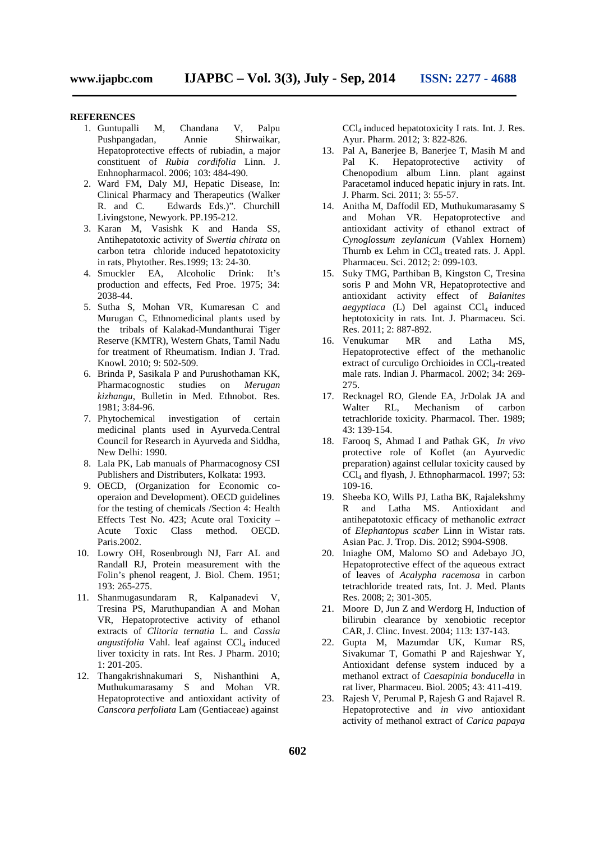#### **REFERENCES**

- 1. Guntupalli M, Chandana V, Palpu Pushpangadan, Annie Shirwaikar, Hepatoprotective effects of rubiadin, a major constituent of *Rubia cordifolia* Linn. J. Enhnopharmacol. 2006; 103: 484-490.
- 2. Ward FM, Daly MJ, Hepatic Disease, In: Clinical Pharmacy and Therapeutics (Walker R. and C. Edwards Eds.)". Churchill Livingstone, Newyork. PP.195-212.
- 3. Karan M, Vasishk K and Handa SS, Antihepatotoxic activity of *Swertia chirata* on carbon tetra chloride induced hepatotoxicity in rats, Phytother. Res.1999; 13: 24-30.
- 4. Smuckler EA, Alcoholic Drink: It's production and effects, Fed Proe. 1975; 34: 2038-44.
- 5. Sutha S, Mohan VR, Kumaresan C and Murugan C, Ethnomedicinal plants used by the tribals of Kalakad-Mundanthurai Tiger Reserve (KMTR), Western Ghats, Tamil Nadu for treatment of Rheumatism. Indian J. Trad. Knowl*.* 2010; 9: 502-509.
- 6. Brinda P, Sasikala P and Purushothaman KK, Pharmacognostic studies on *Merugan kizhangu*, Bulletin in Med. Ethnobot. Res. 1981; 3:84-96.
- 7. Phytochemical investigation of certain medicinal plants used in Ayurveda.Central Council for Research in Ayurveda and Siddha, New Delhi: 1990.
- 8. Lala PK, Lab manuals of Pharmacognosy CSI Publishers and Distributers, Kolkata: 1993.
- 9. OECD, (Organization for Economic co operaion and Development). OECD guidelines for the testing of chemicals /Section 4: Health Effects Test No. 423; Acute oral Toxicity – Acute Toxic Class method. OECD. Paris.2002.
- 10. Lowry OH, Rosenbrough NJ, Farr AL and Randall RJ, Protein measurement with the Folin's phenol reagent, J. Biol. Chem. 1951; 193: 265-275.
- 11. Shanmugasundaram R, Kalpanadevi V, Tresina PS, Maruthupandian A and Mohan VR, Hepatoprotective activity of ethanol extracts of *Clitoria ternatia* L. and *Cassia angustifolia* Vahl. leaf against CCl<sub>4</sub> induced liver toxicity in rats. Int Res. J Pharm. 2010; 1: 201-205.
- 12. Thangakrishnakumari S, Nishanthini A, Muthukumarasamy S and Mohan VR. Hepatoprotective and antioxidant activity of *Canscora perfoliata* Lam (Gentiaceae) against

CCL induced hepatotoxicity I rats. Int. J. Res. Ayur. Pharm. 2012; 3: 822-826.

- 13. Pal A, Banerjee B, Banerjee T, Masih M and Pal K. Hepatoprotective activity of Chenopodium album Linn. plant against Paracetamol induced hepatic injury in rats. Int. J. Pharm. Sci*.* 2011; 3: 55-57.
- 14. Anitha M, Daffodil ED, Muthukumarasamy S and Mohan VR. Hepatoprotective and antioxidant activity of ethanol extract of *Cynoglossum zeylanicum* (Vahlex Hornem) Thurnb ex Lehm in  $CCl_4$  treated rats. J. Appl. Pharmaceu. Sci. 2012; 2: 099-103.
- 15. Suky TMG, Parthiban B, Kingston C, Tresina soris P and Mohn VR, Hepatoprotective and antioxidant activity effect of *Balanites*  $a$ egyptiaca (L) Del against CCl<sub>4</sub> induced heptotoxicity in rats. Int. J. Pharmaceu. Sci. Res. 2011; 2: 887-892.
- 16. Venukumar MR and Latha MS, Hepatoprotective effect of the methanolic extract of curculigo Orchioides in CCl<sub>4</sub>-treated male rats. Indian J. Pharmacol. 2002; 34: 269- 275.
- 17. Recknagel RO, Glende EA, JrDolak JA and Walter RL, Mechanism of carbon tetrachloride toxicity. Pharmacol. Ther. 1989; 43: 139-154.
- 18. Farooq S, Ahmad I and Pathak GK, *In vivo* protective role of Koflet (an Ayurvedic preparation) against cellular toxicity caused by CCl<sup>4</sup> and flyash, J. Ethnopharmacol. 1997; 53: 109-16.
- 19. Sheeba KO, Wills PJ, Latha BK, Rajalekshmy R and Latha MS. Antioxidant and antihepatotoxic efficacy of methanolic *extract* of *Elephantopus scaber* Linn in Wistar rats. Asian Pac. J. Trop. Dis. 2012; S904-S908.
- 20. Iniaghe OM, Malomo SO and Adebayo JO, Hepatoprotective effect of the aqueous extract of leaves of *Acalypha racemosa* in carbon tetrachloride treated rats, Int. J. Med. Plants Res. 2008; 2; 301-305.
- 21. Moore D, Jun Z and Werdorg H, Induction of bilirubin clearance by xenobiotic receptor CAR, J. Clinc. Invest. 2004; 113: 137-143.
- 22. Gupta M, Mazumdar UK, Kumar RS, Sivakumar T, Gomathi P and Rajeshwar Y, Antioxidant defense system induced by a methanol extract of *Caesapinia bonducella* in rat liver, Pharmaceu. Biol. 2005; 43: 411-419.
- 23. Rajesh V, Perumal P, Rajesh G and Rajavel R. Hepatoprotective and *in vivo* antioxidant activity of methanol extract of *Carica papaya*